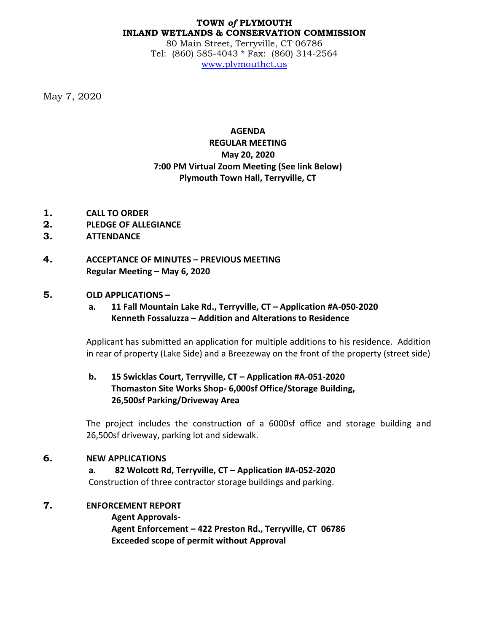#### **TOWN** *of* **PLYMOUTH INLAND WETLANDS & CONSERVATION COMMISSION**

80 Main Street, Terryville, CT 06786 Tel: (860) 585-4043 \* Fax: (860) 314-2564 [www.plymouthct.us](http://www.plymouthct.us/)

May 7, 2020

# **AGENDA REGULAR MEETING May 20, 2020 7:00 PM Virtual Zoom Meeting (See link Below) Plymouth Town Hall, Terryville, CT**

- **1. CALL TO ORDER**
- **2. PLEDGE OF ALLEGIANCE**
- **3. ATTENDANCE**
- **4. ACCEPTANCE OF MINUTES – PREVIOUS MEETING Regular Meeting – May 6, 2020**

### **5. OLD APPLICATIONS –**

### **a. 11 Fall Mountain Lake Rd., Terryville, CT – Application #A-050-2020 Kenneth Fossaluzza – Addition and Alterations to Residence**

Applicant has submitted an application for multiple additions to his residence. Addition in rear of property (Lake Side) and a Breezeway on the front of the property (street side)

## **b. 15 Swicklas Court, Terryville, CT – Application #A-051-2020 Thomaston Site Works Shop- 6,000sf Office/Storage Building, 26,500sf Parking/Driveway Area**

The project includes the construction of a 6000sf office and storage building and 26,500sf driveway, parking lot and sidewalk.

### **6. NEW APPLICATIONS**

**a. 82 Wolcott Rd, Terryville, CT – Application #A-052-2020** Construction of three contractor storage buildings and parking.

# **7. ENFORCEMENT REPORT**

**Agent Approvals-Agent Enforcement – 422 Preston Rd., Terryville, CT 06786 Exceeded scope of permit without Approval**